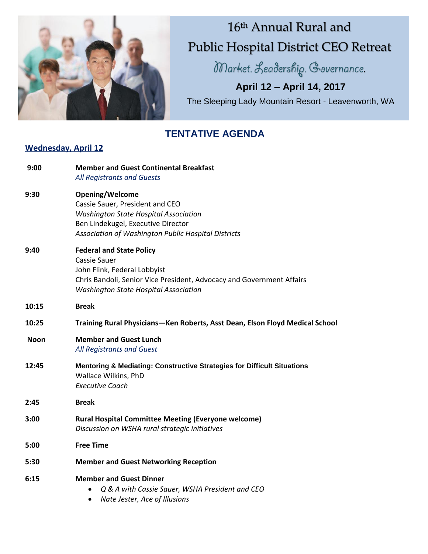

# 16 th Annual Rural and Public Hospital District CEO Retreat

Market. Leadership. Governance.

**April 12 – April 14, 2017** The Sleeping Lady Mountain Resort - Leavenworth, WA

### **TENTATIVE AGENDA**

#### **Wednesday, April 12**

| 9:00  | <b>Member and Guest Continental Breakfast</b><br>All Registrants and Guests                                                                                                                                     |
|-------|-----------------------------------------------------------------------------------------------------------------------------------------------------------------------------------------------------------------|
| 9:30  | <b>Opening/Welcome</b><br>Cassie Sauer, President and CEO<br><b>Washington State Hospital Association</b><br>Ben Lindekugel, Executive Director<br>Association of Washington Public Hospital Districts          |
| 9:40  | <b>Federal and State Policy</b><br><b>Cassie Sauer</b><br>John Flink, Federal Lobbyist<br>Chris Bandoli, Senior Vice President, Advocacy and Government Affairs<br><b>Washington State Hospital Association</b> |
| 10:15 | <b>Break</b>                                                                                                                                                                                                    |
| 10:25 | Training Rural Physicians-Ken Roberts, Asst Dean, Elson Floyd Medical School                                                                                                                                    |
| Noon  | <b>Member and Guest Lunch</b><br>All Registrants and Guest                                                                                                                                                      |
| 12:45 | Mentoring & Mediating: Constructive Strategies for Difficult Situations<br>Wallace Wilkins, PhD<br><b>Executive Coach</b>                                                                                       |
| 2:45  | <b>Break</b>                                                                                                                                                                                                    |
| 3:00  | <b>Rural Hospital Committee Meeting (Everyone welcome)</b><br>Discussion on WSHA rural strategic initiatives                                                                                                    |
| 5:00  | <b>Free Time</b>                                                                                                                                                                                                |
| 5:30  | <b>Member and Guest Networking Reception</b>                                                                                                                                                                    |
| 6:15  | <b>Member and Guest Dinner</b><br>Q & A with Cassie Sauer, WSHA President and CEO<br>Nate Jester, Ace of Illusions<br>٠                                                                                         |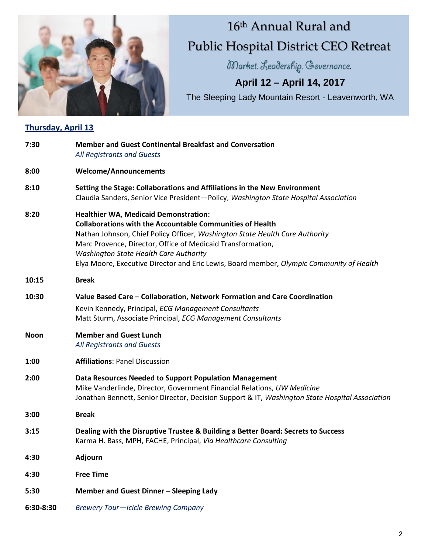

# 16th Annual Rural and Public Hospital District CEO Retreat

Market. Leadership. Governance.

## **April 12 – April 14, 2017**

The Sleeping Lady Mountain Resort - Leavenworth, WA

### **Thursday, April 13**

| 7:30        | <b>Member and Guest Continental Breakfast and Conversation</b><br>All Registrants and Guests                                                                                                                                                                                                                                                                                                          |
|-------------|-------------------------------------------------------------------------------------------------------------------------------------------------------------------------------------------------------------------------------------------------------------------------------------------------------------------------------------------------------------------------------------------------------|
| 8:00        | <b>Welcome/Announcements</b>                                                                                                                                                                                                                                                                                                                                                                          |
| 8:10        | Setting the Stage: Collaborations and Affiliations in the New Environment<br>Claudia Sanders, Senior Vice President-Policy, Washington State Hospital Association                                                                                                                                                                                                                                     |
| 8:20        | <b>Healthier WA, Medicaid Demonstration:</b><br><b>Collaborations with the Accountable Communities of Health</b><br>Nathan Johnson, Chief Policy Officer, Washington State Health Care Authority<br>Marc Provence, Director, Office of Medicaid Transformation,<br>Washington State Health Care Authority<br>Elya Moore, Executive Director and Eric Lewis, Board member, Olympic Community of Health |
| 10:15       | <b>Break</b>                                                                                                                                                                                                                                                                                                                                                                                          |
| 10:30       | Value Based Care – Collaboration, Network Formation and Care Coordination<br>Kevin Kennedy, Principal, ECG Management Consultants<br>Matt Sturm, Associate Principal, ECG Management Consultants                                                                                                                                                                                                      |
| <b>Noon</b> | <b>Member and Guest Lunch</b><br>All Registrants and Guests                                                                                                                                                                                                                                                                                                                                           |
| 1:00        | <b>Affiliations: Panel Discussion</b>                                                                                                                                                                                                                                                                                                                                                                 |
| 2:00        | Data Resources Needed to Support Population Management<br>Mike Vanderlinde, Director, Government Financial Relations, UW Medicine<br>Jonathan Bennett, Senior Director, Decision Support & IT, Washington State Hospital Association                                                                                                                                                                  |
| 3:00        | <b>Break</b>                                                                                                                                                                                                                                                                                                                                                                                          |
| 3:15        | Dealing with the Disruptive Trustee & Building a Better Board: Secrets to Success<br>Karma H. Bass, MPH, FACHE, Principal, Via Healthcare Consulting                                                                                                                                                                                                                                                  |
| 4:30        | <b>Adjourn</b>                                                                                                                                                                                                                                                                                                                                                                                        |
| 4:30        | <b>Free Time</b>                                                                                                                                                                                                                                                                                                                                                                                      |
| 5:30        | Member and Guest Dinner - Sleeping Lady                                                                                                                                                                                                                                                                                                                                                               |
| 6:30-8:30   | <b>Brewery Tour-Icicle Brewing Company</b>                                                                                                                                                                                                                                                                                                                                                            |